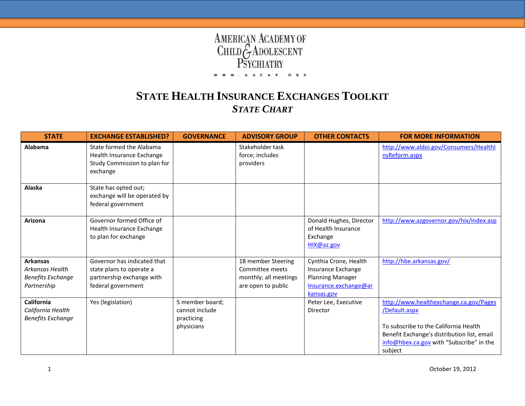## **AMERICAN ACADEMY OF<br>CHILD GADOLESCENT<br>PSYCHIATRY** . A A C A P . O R G w w w

## **STATE HEALTH INSURANCE EXCHANGES TOOLKIT** *STATE CHART*

| <b>STATE</b>                                                                         | <b>EXCHANGE ESTABLISHED?</b>                                                                               | <b>GOVERNANCE</b>                                             | <b>ADVISORY GROUP</b>                                                                | <b>OTHER CONTACTS</b>                                                                                         | <b>FOR MORE INFORMATION</b>                                                                                                                                                                            |
|--------------------------------------------------------------------------------------|------------------------------------------------------------------------------------------------------------|---------------------------------------------------------------|--------------------------------------------------------------------------------------|---------------------------------------------------------------------------------------------------------------|--------------------------------------------------------------------------------------------------------------------------------------------------------------------------------------------------------|
| Alabama                                                                              | State formed the Alabama<br>Health Insurance Exchange<br>Study Commission to plan for<br>exchange          |                                                               | Stakeholder task<br>force; includes<br>providers                                     |                                                                                                               | http://www.aldoi.gov/Consumers/Healthl<br>nsReform.aspx                                                                                                                                                |
| Alaska                                                                               | State has opted out;<br>exchange will be operated by<br>federal government                                 |                                                               |                                                                                      |                                                                                                               |                                                                                                                                                                                                        |
| Arizona                                                                              | Governor formed Office of<br>Health Insurance Exchange<br>to plan for exchange                             |                                                               |                                                                                      | Donald Hughes, Director<br>of Health Insurance<br>Exchange<br>HIX@az.gov                                      | http://www.azgovernor.gov/hix/index.asp                                                                                                                                                                |
| <b>Arkansas</b><br><b>Arkansas Health</b><br><b>Benefits Exchange</b><br>Partnership | Governor has indicated that<br>state plans to operate a<br>partnership exchange with<br>federal government |                                                               | 18 member Steering<br>Committee meets<br>monthly; all meetings<br>are open to public | Cynthia Crone, Health<br>Insurance Exchange<br><b>Planning Manager</b><br>Insurance.exchange@ar<br>kansas.gov | http://hbe.arkansas.gov/                                                                                                                                                                               |
| California<br>California Health<br><b>Benefits Exchange</b>                          | Yes (legislation)                                                                                          | 5 member board;<br>cannot include<br>practicing<br>physicians |                                                                                      | Peter Lee, Executive<br>Director                                                                              | http://www.healthexchange.ca.gov/Pages<br>/Default.aspx<br>To subscribe to the California Health<br>Benefit Exchange's distribution list, email<br>info@hbex.ca.gov with "Subscribe" in the<br>subject |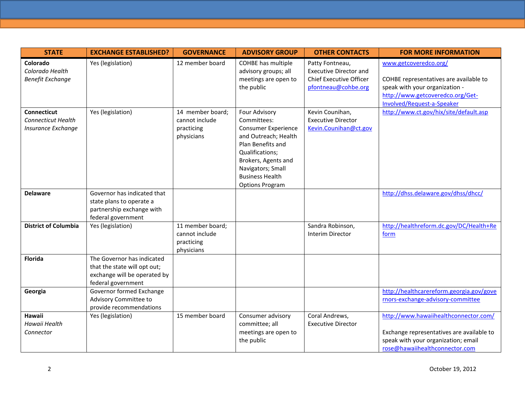| <b>STATE</b>                                                          | <b>EXCHANGE ESTABLISHED?</b>                                                                                     | <b>GOVERNANCE</b>                                              | <b>ADVISORY GROUP</b>                                                                                                                                                                                                      | <b>OTHER CONTACTS</b>                                                                                     | <b>FOR MORE INFORMATION</b>                                                                                                                                         |
|-----------------------------------------------------------------------|------------------------------------------------------------------------------------------------------------------|----------------------------------------------------------------|----------------------------------------------------------------------------------------------------------------------------------------------------------------------------------------------------------------------------|-----------------------------------------------------------------------------------------------------------|---------------------------------------------------------------------------------------------------------------------------------------------------------------------|
| Colorado<br>Colorado Health<br><b>Benefit Exchange</b>                | Yes (legislation)                                                                                                | 12 member board                                                | COHBE has multiple<br>advisory groups; all<br>meetings are open to<br>the public                                                                                                                                           | Patty Fontneau,<br><b>Executive Director and</b><br><b>Chief Executive Officer</b><br>pfontneau@cohbe.org | www.getcoveredco.org/<br>COHBE representatives are available to<br>speak with your organization -<br>http://www.getcoveredco.org/Get-<br>Involved/Request-a-Speaker |
| <b>Connecticut</b><br><b>Connecticut Health</b><br>Insurance Exchange | Yes (legislation)                                                                                                | 14 member board;<br>cannot include<br>practicing<br>physicians | Four Advisory<br>Committees:<br><b>Consumer Experience</b><br>and Outreach; Health<br>Plan Benefits and<br>Qualifications;<br>Brokers, Agents and<br>Navigators; Small<br><b>Business Health</b><br><b>Options Program</b> | Kevin Counihan,<br><b>Executive Director</b><br>Kevin.Counihan@ct.gov                                     | http://www.ct.gov/hix/site/default.asp                                                                                                                              |
| <b>Delaware</b>                                                       | Governor has indicated that<br>state plans to operate a<br>partnership exchange with<br>federal government       |                                                                |                                                                                                                                                                                                                            |                                                                                                           | http://dhss.delaware.gov/dhss/dhcc/                                                                                                                                 |
| <b>District of Columbia</b>                                           | Yes (legislation)                                                                                                | 11 member board;<br>cannot include<br>practicing<br>physicians |                                                                                                                                                                                                                            | Sandra Robinson,<br><b>Interim Director</b>                                                               | http://healthreform.dc.gov/DC/Health+Re<br>form                                                                                                                     |
| <b>Florida</b>                                                        | The Governor has indicated<br>that the state will opt out;<br>exchange will be operated by<br>federal government |                                                                |                                                                                                                                                                                                                            |                                                                                                           |                                                                                                                                                                     |
| Georgia                                                               | Governor formed Exchange<br>Advisory Committee to<br>provide recommendations                                     |                                                                |                                                                                                                                                                                                                            |                                                                                                           | http://healthcarereform.georgia.gov/gove<br>rnors-exchange-advisory-committee                                                                                       |
| Hawaii<br>Hawaii Health<br>Connector                                  | Yes (legislation)                                                                                                | 15 member board                                                | Consumer advisory<br>committee; all<br>meetings are open to<br>the public                                                                                                                                                  | Coral Andrews,<br><b>Executive Director</b>                                                               | http://www.hawaiihealthconnector.com/<br>Exchange representatives are available to<br>speak with your organization; email<br>rose@hawaiihealthconnector.com         |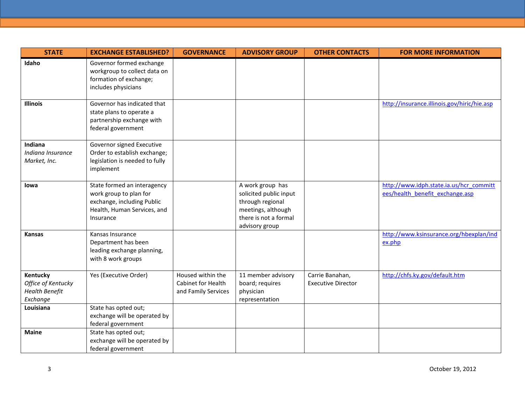| <b>STATE</b>                                                        | <b>EXCHANGE ESTABLISHED?</b>                                                                                                    | <b>GOVERNANCE</b>                                              | <b>ADVISORY GROUP</b>                                                                                                           | <b>OTHER CONTACTS</b>                        | <b>FOR MORE INFORMATION</b>                                                |
|---------------------------------------------------------------------|---------------------------------------------------------------------------------------------------------------------------------|----------------------------------------------------------------|---------------------------------------------------------------------------------------------------------------------------------|----------------------------------------------|----------------------------------------------------------------------------|
| Idaho                                                               | Governor formed exchange<br>workgroup to collect data on<br>formation of exchange;<br>includes physicians                       |                                                                |                                                                                                                                 |                                              |                                                                            |
| <b>Illinois</b>                                                     | Governor has indicated that<br>state plans to operate a<br>partnership exchange with<br>federal government                      |                                                                |                                                                                                                                 |                                              | http://insurance.illinois.gov/hiric/hie.asp                                |
| Indiana<br>Indiana Insurance<br>Market, Inc.                        | Governor signed Executive<br>Order to establish exchange;<br>legislation is needed to fully<br>implement                        |                                                                |                                                                                                                                 |                                              |                                                                            |
| lowa                                                                | State formed an interagency<br>work group to plan for<br>exchange, including Public<br>Health, Human Services, and<br>Insurance |                                                                | A work group has<br>solicited public input<br>through regional<br>meetings, although<br>there is not a formal<br>advisory group |                                              | http://www.idph.state.ia.us/hcr_committ<br>ees/health benefit exchange.asp |
| Kansas                                                              | Kansas Insurance<br>Department has been<br>leading exchange planning,<br>with 8 work groups                                     |                                                                |                                                                                                                                 |                                              | http://www.ksinsurance.org/hbexplan/ind<br>ex.php                          |
| Kentucky<br>Office of Kentucky<br><b>Health Benefit</b><br>Exchange | Yes (Executive Order)                                                                                                           | Housed within the<br>Cabinet for Health<br>and Family Services | 11 member advisory<br>board; requires<br>physician<br>representation                                                            | Carrie Banahan,<br><b>Executive Director</b> | http://chfs.ky.gov/default.htm                                             |
| Louisiana                                                           | State has opted out;<br>exchange will be operated by<br>federal government                                                      |                                                                |                                                                                                                                 |                                              |                                                                            |
| <b>Maine</b>                                                        | State has opted out;<br>exchange will be operated by<br>federal government                                                      |                                                                |                                                                                                                                 |                                              |                                                                            |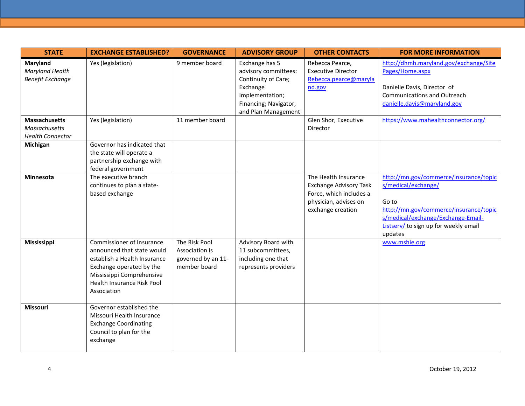| <b>STATE</b>                                                            | <b>EXCHANGE ESTABLISHED?</b>                                                                                                                                                                  | <b>GOVERNANCE</b>                                                     | <b>ADVISORY GROUP</b>                                                                                                                        | <b>OTHER CONTACTS</b>                                                                                                          | <b>FOR MORE INFORMATION</b>                                                                                                                                                                                |
|-------------------------------------------------------------------------|-----------------------------------------------------------------------------------------------------------------------------------------------------------------------------------------------|-----------------------------------------------------------------------|----------------------------------------------------------------------------------------------------------------------------------------------|--------------------------------------------------------------------------------------------------------------------------------|------------------------------------------------------------------------------------------------------------------------------------------------------------------------------------------------------------|
| Maryland<br>Maryland Health<br><b>Benefit Exchange</b>                  | Yes (legislation)                                                                                                                                                                             | 9 member board                                                        | Exchange has 5<br>advisory committees:<br>Continuity of Care;<br>Exchange<br>Implementation;<br>Financing; Navigator,<br>and Plan Management | Rebecca Pearce,<br><b>Executive Director</b><br>Rebecca.pearce@maryla<br>nd.gov                                                | http://dhmh.maryland.gov/exchange/Site<br>Pages/Home.aspx<br>Danielle Davis, Director of<br><b>Communications and Outreach</b><br>danielle.davis@maryland.gov                                              |
| <b>Massachusetts</b><br><b>Massachusetts</b><br><b>Health Connector</b> | Yes (legislation)                                                                                                                                                                             | 11 member board                                                       |                                                                                                                                              | Glen Shor, Executive<br>Director                                                                                               | https://www.mahealthconnector.org/                                                                                                                                                                         |
| Michigan                                                                | Governor has indicated that<br>the state will operate a<br>partnership exchange with<br>federal government                                                                                    |                                                                       |                                                                                                                                              |                                                                                                                                |                                                                                                                                                                                                            |
| <b>Minnesota</b>                                                        | The executive branch<br>continues to plan a state-<br>based exchange                                                                                                                          |                                                                       |                                                                                                                                              | The Health Insurance<br><b>Exchange Advisory Task</b><br>Force, which includes a<br>physician, advises on<br>exchange creation | http://mn.gov/commerce/insurance/topic<br>s/medical/exchange/<br>Go to<br>http://mn.gov/commerce/insurance/topic<br>s/medical/exchange/Exchange-Email-<br>Listserv/ to sign up for weekly email<br>updates |
| Mississippi                                                             | Commissioner of Insurance<br>announced that state would<br>establish a Health Insurance<br>Exchange operated by the<br>Mississippi Comprehensive<br>Health Insurance Risk Pool<br>Association | The Risk Pool<br>Association is<br>governed by an 11-<br>member board | Advisory Board with<br>11 subcommittees,<br>including one that<br>represents providers                                                       |                                                                                                                                | www.mshie.org                                                                                                                                                                                              |
| Missouri                                                                | Governor established the<br>Missouri Health Insurance<br><b>Exchange Coordinating</b><br>Council to plan for the<br>exchange                                                                  |                                                                       |                                                                                                                                              |                                                                                                                                |                                                                                                                                                                                                            |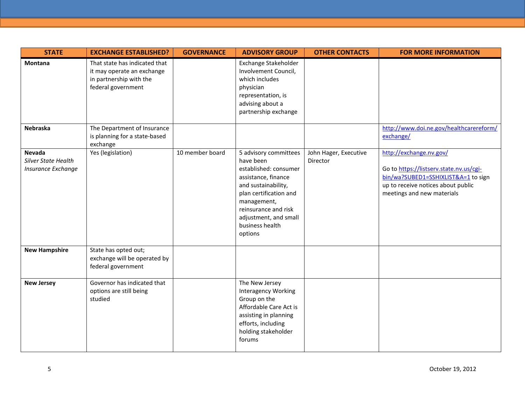| <b>STATE</b>                                        | <b>EXCHANGE ESTABLISHED?</b>                                                                                 | <b>GOVERNANCE</b> | <b>ADVISORY GROUP</b>                                                                                                                                                                                                             | <b>OTHER CONTACTS</b>             | <b>FOR MORE INFORMATION</b>                                                                                                                                                   |
|-----------------------------------------------------|--------------------------------------------------------------------------------------------------------------|-------------------|-----------------------------------------------------------------------------------------------------------------------------------------------------------------------------------------------------------------------------------|-----------------------------------|-------------------------------------------------------------------------------------------------------------------------------------------------------------------------------|
| Montana                                             | That state has indicated that<br>it may operate an exchange<br>in partnership with the<br>federal government |                   | Exchange Stakeholder<br>Involvement Council,<br>which includes<br>physician<br>representation, is<br>advising about a<br>partnership exchange                                                                                     |                                   |                                                                                                                                                                               |
| <b>Nebraska</b>                                     | The Department of Insurance<br>is planning for a state-based<br>exchange                                     |                   |                                                                                                                                                                                                                                   |                                   | http://www.doi.ne.gov/healthcarereform/<br>exchange/                                                                                                                          |
| Nevada<br>Silver State Health<br>Insurance Exchange | Yes (legislation)                                                                                            | 10 member board   | 5 advisory committees<br>have been<br>established: consumer<br>assistance, finance<br>and sustainability,<br>plan certification and<br>management,<br>reinsurance and risk<br>adjustment, and small<br>business health<br>options | John Hager, Executive<br>Director | http://exchange.nv.gov/<br>Go to https://listserv.state.nv.us/cgi-<br>bin/wa?SUBED1=SSHIXLIST&A=1 to sign<br>up to receive notices about public<br>meetings and new materials |
| <b>New Hampshire</b>                                | State has opted out;<br>exchange will be operated by<br>federal government                                   |                   |                                                                                                                                                                                                                                   |                                   |                                                                                                                                                                               |
| <b>New Jersey</b>                                   | Governor has indicated that<br>options are still being<br>studied                                            |                   | The New Jersey<br><b>Interagency Working</b><br>Group on the<br>Affordable Care Act is<br>assisting in planning<br>efforts, including<br>holding stakeholder<br>forums                                                            |                                   |                                                                                                                                                                               |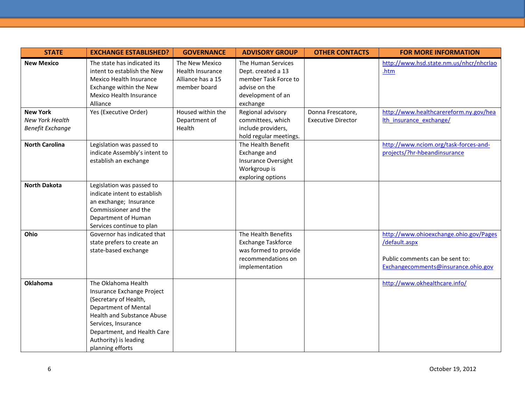| <b>STATE</b>                               | <b>EXCHANGE ESTABLISHED?</b>                               | <b>GOVERNANCE</b>                         | <b>ADVISORY GROUP</b>                       | <b>OTHER CONTACTS</b>     | <b>FOR MORE INFORMATION</b>                     |
|--------------------------------------------|------------------------------------------------------------|-------------------------------------------|---------------------------------------------|---------------------------|-------------------------------------------------|
| <b>New Mexico</b>                          | The state has indicated its<br>intent to establish the New | The New Mexico<br><b>Health Insurance</b> | The Human Services<br>Dept. created a 13    |                           | http://www.hsd.state.nm.us/nhcr/nhcrlao<br>.htm |
|                                            | Mexico Health Insurance<br>Exchange within the New         | Alliance has a 15<br>member board         | member Task Force to<br>advise on the       |                           |                                                 |
|                                            | Mexico Health Insurance<br>Alliance                        |                                           | development of an<br>exchange               |                           |                                                 |
| <b>New York</b>                            | Yes (Executive Order)                                      | Housed within the                         | Regional advisory                           | Donna Frescatore,         | http://www.healthcarereform.ny.gov/hea          |
| New York Health<br><b>Benefit Exchange</b> |                                                            | Department of<br>Health                   | committees, which<br>include providers,     | <b>Executive Director</b> | Ith insurance exchange/                         |
|                                            |                                                            |                                           | hold regular meetings.                      |                           |                                                 |
| <b>North Carolina</b>                      | Legislation was passed to                                  |                                           | The Health Benefit                          |                           | http://www.nciom.org/task-forces-and-           |
|                                            | indicate Assembly's intent to                              |                                           | Exchange and                                |                           | projects/?hr-hbeandinsurance                    |
|                                            | establish an exchange                                      |                                           | Insurance Oversight                         |                           |                                                 |
|                                            |                                                            |                                           | Workgroup is<br>exploring options           |                           |                                                 |
| <b>North Dakota</b>                        | Legislation was passed to                                  |                                           |                                             |                           |                                                 |
|                                            | indicate intent to establish                               |                                           |                                             |                           |                                                 |
|                                            | an exchange; Insurance<br>Commissioner and the             |                                           |                                             |                           |                                                 |
|                                            | Department of Human                                        |                                           |                                             |                           |                                                 |
|                                            | Services continue to plan                                  |                                           |                                             |                           |                                                 |
| Ohio                                       | Governor has indicated that                                |                                           | The Health Benefits                         |                           | http://www.ohioexchange.ohio.gov/Pages          |
|                                            | state prefers to create an                                 |                                           | Exchange Taskforce                          |                           | /default.aspx                                   |
|                                            | state-based exchange                                       |                                           | was formed to provide<br>recommendations on |                           | Public comments can be sent to:                 |
|                                            |                                                            |                                           | implementation                              |                           | Exchangecomments@insurance.ohio.gov             |
|                                            |                                                            |                                           |                                             |                           |                                                 |
| Oklahoma                                   | The Oklahoma Health                                        |                                           |                                             |                           | http://www.okhealthcare.info/                   |
|                                            | Insurance Exchange Project                                 |                                           |                                             |                           |                                                 |
|                                            | (Secretary of Health,<br><b>Department of Mental</b>       |                                           |                                             |                           |                                                 |
|                                            | <b>Health and Substance Abuse</b>                          |                                           |                                             |                           |                                                 |
|                                            | Services, Insurance                                        |                                           |                                             |                           |                                                 |
|                                            | Department, and Health Care                                |                                           |                                             |                           |                                                 |
|                                            | Authority) is leading                                      |                                           |                                             |                           |                                                 |
|                                            | planning efforts                                           |                                           |                                             |                           |                                                 |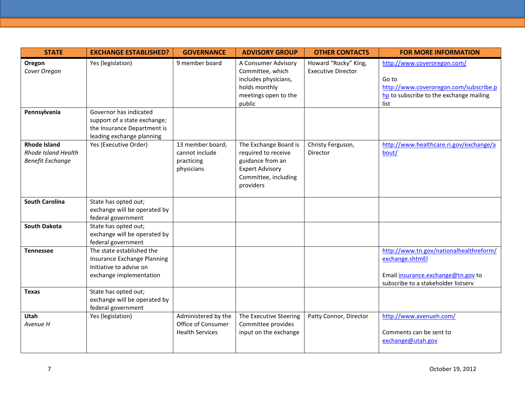| <b>STATE</b>                                                                 | <b>EXCHANGE ESTABLISHED?</b>                                                                                       | <b>GOVERNANCE</b>                                                   | <b>ADVISORY GROUP</b>                                                                                                           | <b>OTHER CONTACTS</b>                             | <b>FOR MORE INFORMATION</b>                                                                                                             |
|------------------------------------------------------------------------------|--------------------------------------------------------------------------------------------------------------------|---------------------------------------------------------------------|---------------------------------------------------------------------------------------------------------------------------------|---------------------------------------------------|-----------------------------------------------------------------------------------------------------------------------------------------|
| Oregon<br>Cover Oregon                                                       | Yes (legislation)                                                                                                  | 9 member board                                                      | A Consumer Advisory<br>Committee, which<br>includes physicians,<br>holds monthly<br>meetings open to the<br>public              | Howard "Rocky" King,<br><b>Executive Director</b> | http://www.coveroregon.com/<br>Go to<br>http://www.coveroregon.com/subscribe.p<br>hp to subscribe to the exchange mailing<br>list       |
| Pennsylvania                                                                 | Governor has indicated<br>support of a state exchange;<br>the Insurance Department is<br>leading exchange planning |                                                                     |                                                                                                                                 |                                                   |                                                                                                                                         |
| <b>Rhode Island</b><br><b>Rhode Island Health</b><br><b>Benefit Exchange</b> | Yes (Executive Order)                                                                                              | 13 member board;<br>cannot include<br>practicing<br>physicians      | The Exchange Board is<br>required to receive<br>guidance from an<br><b>Expert Advisory</b><br>Committee, including<br>providers | Christy Ferguson,<br>Director                     | http://www.healthcare.ri.gov/exchange/a<br>bout/                                                                                        |
| <b>South Carolina</b>                                                        | State has opted out;<br>exchange will be operated by<br>federal government                                         |                                                                     |                                                                                                                                 |                                                   |                                                                                                                                         |
| <b>South Dakota</b>                                                          | State has opted out;<br>exchange will be operated by<br>federal government                                         |                                                                     |                                                                                                                                 |                                                   |                                                                                                                                         |
| <b>Tennessee</b>                                                             | The state established the<br>Insurance Exchange Planning<br>Initiative to advise on<br>exchange implementation     |                                                                     |                                                                                                                                 |                                                   | http://www.tn.gov/nationalhealthreform/<br>exchange.shtmEl<br>Email insurance.exchange@tn.gov to<br>subscribe to a stakeholder listserv |
| <b>Texas</b>                                                                 | State has opted out;<br>exchange will be operated by<br>federal government                                         |                                                                     |                                                                                                                                 |                                                   |                                                                                                                                         |
| Utah<br>Avenue H                                                             | Yes (legislation)                                                                                                  | Administered by the<br>Office of Consumer<br><b>Health Services</b> | The Executive Steering<br>Committee provides<br>input on the exchange                                                           | Patty Connor, Director                            | http://www.avenueh.com/<br>Comments can be sent to<br>exchange@utah.gov                                                                 |